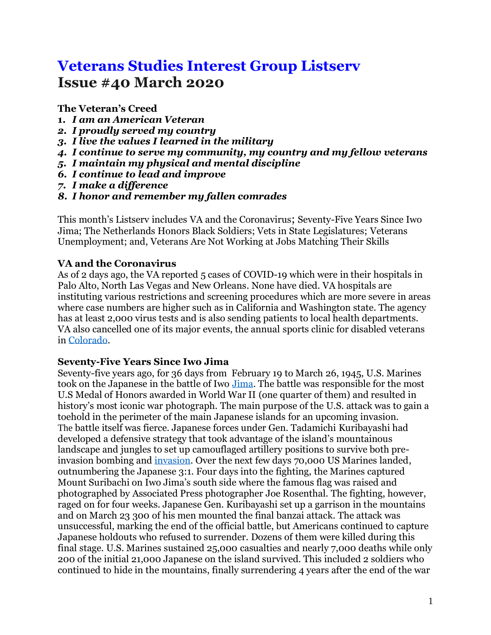# **Veterans Studies Interest Group Listserv Issue #40 March 2020**

**The Veteran's Creed**

- **1.** *I am an American Veteran*
- *2. I proudly served my country*
- *3. I live the values I learned in the military*
- *4. I continue to serve my community, my country and my fellow veterans*
- *5. I maintain my physical and mental discipline*
- *6. I continue to lead and improve*
- *7. I make a difference*
- *8. I honor and remember my fallen comrades*

This month's Listserv includes VA and the Coronavirus; Seventy-Five Years Since Iwo Jima; The Netherlands Honors Black Soldiers; Vets in State Legislatures; Veterans Unemployment; and, Veterans Are Not Working at Jobs Matching Their Skills

## **VA and the Coronavirus**

As of 2 days ago, the VA reported 5 cases of COVID-19 which were in their hospitals in Palo Alto, North Las Vegas and New Orleans. None have died. VA hospitals are instituting various restrictions and screening procedures which are more severe in areas where case numbers are higher such as in California and Washington state. The agency has at least 2,000 virus tests and is also sending patients to local health departments. VA also cancelled one of its major events, the annual sports clinic for disabled veterans in [Colorado.](https://www.usatoday.com/story/news/nation/2020/03/10/coronavirus-spread-veterans-va-screening-visitor-restrictions/5006410002/)

#### **Seventy-Five Years Since Iwo Jima**

Seventy-five years ago, for 36 days from February 19 to March 26, 1945, U.S. Marines took on the Japanese in the battle of Iwo [Jima.](https://www.history.com/topics/world-war-ii/battle-of-iwo-jima) The battle was responsible for the most U.S Medal of Honors awarded in World War II (one quarter of them) and resulted in history's most iconic war photograph. The main purpose of the U.S. attack was to gain a toehold in the perimeter of the main Japanese islands for an upcoming invasion. The battle itself was fierce. Japanese forces under Gen. Tadamichi Kuribayashi had developed a defensive strategy that took advantage of the island's mountainous landscape and jungles to set up camouflaged artillery positions to survive both preinvasion bombing and [invasion.](https://www.britannica.com/topic/Battle-of-Iwo-Jima) Over the next few days 70,000 US Marines landed, outnumbering the Japanese 3:1. Four days into the fighting, the Marines captured Mount Suribachi on Iwo Jima's south side where the famous flag was raised and photographed by Associated Press photographer Joe Rosenthal. The fighting, however, raged on for four weeks. Japanese Gen. Kuribayashi set up a garrison in the mountains and on March 23 300 of his men mounted the final banzai attack. The attack was unsuccessful, marking the end of the official battle, but Americans continued to capture Japanese holdouts who refused to surrender. Dozens of them were killed during this final stage. U.S. Marines sustained 25,000 casualties and nearly 7,000 deaths while only 200 of the initial 21,000 Japanese on the island survived. This included 2 soldiers who continued to hide in the mountains, finally surrendering 4 years after the end of the war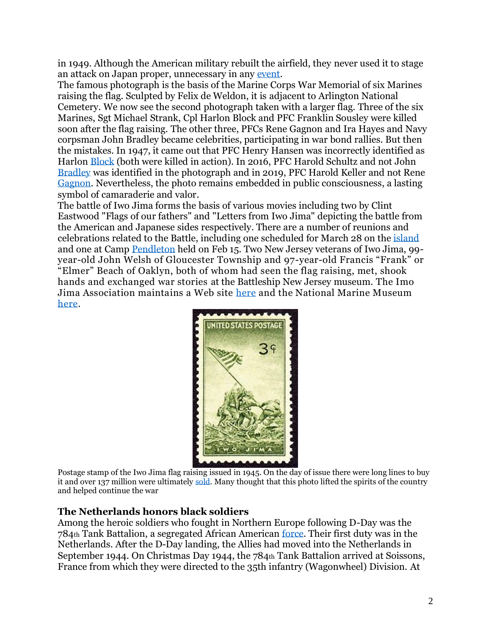in 1949. Although the American military rebuilt the airfield, they never used it to stage an attack on Japan proper, unnecessary in any [event.](https://www.history.com/topics/world-war-ii/battle-of-iwo-jima)

The famous photograph is the basis of the Marine Corps War Memorial of six Marines raising the flag. Sculpted by Felix de Weldon, it is adjacent to Arlington National Cemetery. We now see the second photograph taken with a larger flag. Three of the six Marines, Sgt Michael Strank, Cpl Harlon Block and PFC Franklin Sousley were killed soon after the flag raising. The other three, PFCs Rene Gagnon and Ira Hayes and Navy corpsman John Bradley became celebrities, participating in war bond rallies. But then the mistakes. In 1947, it came out that PFC Henry Hansen was incorrectly identified as Harlon [Block](https://www.irishcentral.com/news/harold-keller-flag-iwo-jima) (both were killed in action). In 2016, PFC Harold Schultz and not John [Bradley](https://www.marines.mil/News/News-Display/Article/810457/usmc-statement-on-iwo-jima-flagraisers/) was identified in the photograph and in 2019, PFC Harold Keller and not Rene [Gagnon.](https://www.nbcnews.com/news/us-news/warrior-iconic-iwo-jima-flag-raising-photo-was-misidentified-marines-n1064766) Nevertheless, the photo remains embedded in public consciousness, a lasting symbol of camaraderie and valor.

The battle of Iwo Jima forms the basis of various movies including two by Clint Eastwood "Flags of our fathers" and "Letters from Iwo Jima" depicting the battle from the American and Japanese sides respectively. There are a number of reunions and celebrations related to the Battle, including one scheduled for March 28 on the [island](https://www.miltours.com/index.php?route=product/product&product_id=112) and one at Camp [Pendleton](https://www.sandiegouniontribune.com/veterans/story/2020-02-15/veterans-honor-75th-anniversary-of-iwo-jima-battle) held on Feb 15. Two New Jersey veterans of Iwo Jima, 99 year-old John Welsh of Gloucester Township and 97-year-old Francis "Frank" or "Elmer" Beach of Oaklyn, both of whom had seen the flag raising, met, shook hands and exchanged war stories at the Battleship New Jersey museum. The Imo Jima Association maintains a Web site [here](https://www.iwojimaassociation.org/) and the National Marine Museum [here.](https://www.usmcmuseum.com/battle-of-iwo-jim%20there%20has%20been%20an%20upticka.html)



Postage stamp of the Iwo Jima flag raising issued in 1945. On the day of issue there were long lines to buy it and over 137 million were ultimately [sold.](http://www.iwojima.com/stamps/index.htm) Many thought that this photo lifted the spirits of the country and helped continue the war

#### **The Netherlands honors black soldiers**

Among the heroic soldiers who fought in Northern Europe following D-Day was the 784th Tank Battalion, a segregated African American [force.](https://www.washingtonpost.com/history/2020/02/11/black-soldiers-wwii-dutch-liberation/) Their first duty was in the Netherlands. After the D-Day landing, the Allies had moved into the Netherlands in September 1944. On Christmas Day 1944, the 784th Tank Battalion arrived at Soissons, France from which they were directed to the 35th infantry (Wagonwheel) Division. At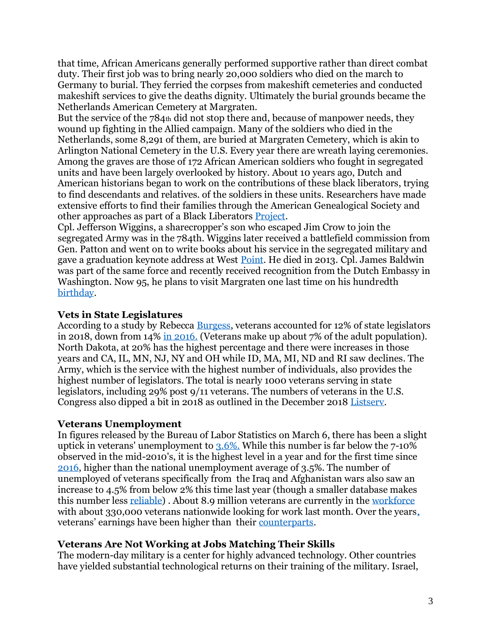that time, African Americans generally performed supportive rather than direct combat duty. Their first job was to bring nearly 20,000 soldiers who died on the march to Germany to burial. They ferried the corpses from makeshift cemeteries and conducted makeshift services to give the deaths dignity. Ultimately the burial grounds became the Netherlands American Cemetery at Margraten.

But the service of the 784th did not stop there and, because of manpower needs, they wound up fighting in the Allied campaign. Many of the soldiers who died in the Netherlands, some 8,291 of them, are buried at Margraten Cemetery, which is akin to Arlington National Cemetery in the U.S. Every year there are wreath laying ceremonies. Among the graves are those of 172 African American soldiers who fought in segregated units and have been largely overlooked by history. About 10 years ago, Dutch and American historians began to work on the contributions of these black liberators, trying to find descendants and relatives. of the soldiers in these units. Researchers have made extensive efforts to find their families through the American Genealogical Society and other approaches as part of a Black Liberators [Project.](https://www.militarytimes.com/military-honor/black-military-history/2020/02/13/seventy-five-years-later-the-netherlands-honors-the-black-liberators-who-helped-end-the-nazi-occupation/)

Cpl. Jefferson Wiggins, a sharecropper's son who escaped Jim Crow to join the segregated Army was in the 784th. Wiggins later received a battlefield commission from Gen. Patton and went on to write books about his service in the segregated military and gave a graduation keynote address at West [Point.](https://www.militarytimes.com/military-honor/black-military-history/2020/02/13/seventy-five-years-later-the-netherlands-honors-the-black-liberators-who-helped-end-the-nazi-occupation/) He died in 2013. Cpl. James Baldwin was part of the same force and recently received recognition from the Dutch Embassy in Washington. Now 95, he plans to visit Margraten one last time on his hundredth [birthday.](https://www.militarytimes.com/military-honor/black-military-history/2020/02/13/seventy-five-years-later-the-netherlands-honors-the-black-liberators-who-helped-end-the-nazi-occupation/)

## **Vets in State Legislatures**

According to a study by Rebecca [Burgess,](https://www.aei.org/multimedia/veterans-in-state-legislative-chambers-snapshot-2020-edition/) veterans accounted for 12% of state legislators in 2018, down from 14% [in 2016.](https://www.stripes.com/news/veterans/va-says-second-veteran-diagnosed-with-coronavirus-awaits-cdc-confirmation-1.621462) (Veterans make up about 7% of the adult population). North Dakota, at 20% has the highest percentage and there were increases in those years and CA, IL, MN, NJ, NY and OH while ID, MA, MI, ND and RI saw declines. The Army, which is the service with the highest number of individuals, also provides the highest number of legislators. The total is nearly 1000 veterans serving in state legislators, including 29% post 9/11 veterans. The numbers of veterans in the U.S. Congress also dipped a bit in 2018 as outlined in the December 2018 [Listserv.](https://repository.library.georgetown.edu/bitstream/handle/10822/1052766/Veterans%20Interest%20Newsletter%20Listserv_Issue%2026.pdf?sequence=1&isAllowed=y)

#### **Veterans Unemployment**

In figures released by the Bureau of Labor Statistics on March 6, there has been a slight uptick in veterans' unemployment to [3.6%.](https://www.militarytimes.com/news/pentagon-congress/2020/03/06/veterans-unemployment-up-again/) While this number is far below the 7-10% observed in the mid-2010's, it is the highest level in a year and for the first time since [2016,](https://www.militarytimes.com/news/pentagon-congress/2020/03/06/veterans-unemployment-up-again/) higher than the national unemployment average of 3.5%. The number of unemployed of veterans specifically from the Iraq and Afghanistan wars also saw an increase to 4.5% from below 2% this time last year (though a smaller database makes this number less [reliable\)](https://www.militarytimes.com/news/pentagon-congress/2020/03/06/veterans-unemployment-up-again/) . About 8.9 million veterans are currently in the [workforce](https://www.militarytimes.com/news/pentagon-congress/2020/03/06/veterans-unemployment-up-again/) with about 330,000 veterans nationwide looking for work last month. Over the years, veterans' earnings have been higher than their [counterparts.](https://www.pewresearch.org/fact-tank/2019/12/09/veteran-households-in-u-s-are-economically-better-off-than-those-of-non-veterans/)

# **Veterans Are Not Working at Jobs Matching Their Skills**

The modern-day military is a center for highly advanced technology. Other countries have yielded substantial technological returns on their training of the military. Israel,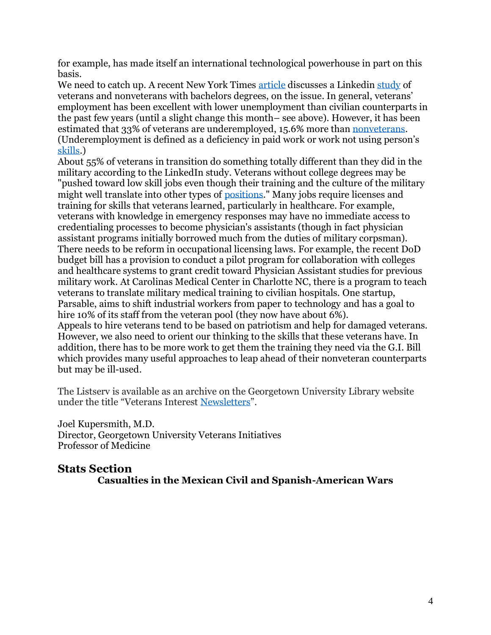for example, has made itself an international technological powerhouse in part on this basis.

We need to catch up. A recent New York Times [article](https://www.nytimes.com/2020/03/07/us/politics/veterans-jobs-employment.html) discusses a Linkedin [study](https://socialimpact.linkedin.com/content/dam/me/linkedinforgood/en-us/resources/veterans/LinkedIn-Veteran-Opportunity-Report.pdf) of veterans and nonveterans with bachelors degrees, on the issue. In general, veterans' employment has been excellent with lower unemployment than civilian counterparts in the past few years (until a slight change this month– see above). However, it has been estimated that 33% of veterans are underemployed, 15.6% more tha[n nonveterans.](https://socialimpact.linkedin.com/content/dam/me/linkedinforgood/en-us/resources/veterans/LinkedIn-Veteran-Opportunity-Report.pdf) (Underemployment is defined as a deficiency in paid work or work not using person's [skills.](https://socialimpact.linkedin.com/content/dam/me/linkedinforgood/en-us/resources/veterans/LinkedIn-Veteran-Opportunity-Report.pdf))

About 55% of veterans in transition do something totally different than they did in the military according to the LinkedIn study. Veterans without college degrees may be "pushed toward low skill jobs even though their training and the culture of the military might well translate into other types of [positions.](https://www.nytimes.com/2020/03/07/us/politics/veterans-jobs-employment.html)" Many jobs require licenses and training for skills that veterans learned, particularly in healthcare. For example, veterans with knowledge in emergency responses may have no immediate access to credentialing processes to become physician's assistants (though in fact physician assistant programs initially borrowed much from the duties of military corpsman). There needs to be reform in occupational licensing laws. For example, the recent DoD budget bill has a provision to conduct a pilot program for collaboration with colleges and healthcare systems to grant credit toward Physician Assistant studies for previous military work. At Carolinas Medical Center in Charlotte NC, there is a program to teach veterans to translate military medical training to civilian hospitals. One startup, Parsable, aims to shift industrial workers from paper to technology and has a goal to hire 10% of its staff from the veteran pool (they now have about 6%). Appeals to hire veterans tend to be based on patriotism and help for damaged veterans. However, we also need to orient our thinking to the skills that these veterans have. In addition, there has to be more work to get them the training they need via the G.I. Bill which provides many useful approaches to leap ahead of their nonveteran counterparts but may be ill-used.

The Listserv is available as an archive on the Georgetown University Library website under the title "Veterans Interest [Newsletters](https://repository.library.georgetown.edu/handle/10822/1050313)".

Joel Kupersmith, M.D. Director, Georgetown University Veterans Initiatives Professor of Medicine

**Stats Section Casualties in the Mexican Civil and Spanish-American Wars**